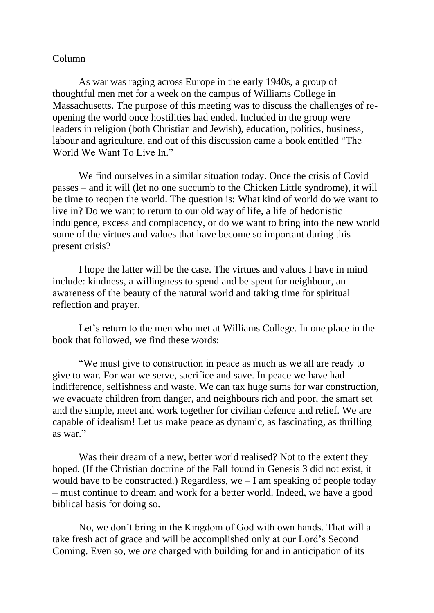## Column

As war was raging across Europe in the early 1940s, a group of thoughtful men met for a week on the campus of Williams College in Massachusetts. The purpose of this meeting was to discuss the challenges of reopening the world once hostilities had ended. Included in the group were leaders in religion (both Christian and Jewish), education, politics, business, labour and agriculture, and out of this discussion came a book entitled "The World We Want To Live In."

We find ourselves in a similar situation today. Once the crisis of Covid passes – and it will (let no one succumb to the Chicken Little syndrome), it will be time to reopen the world. The question is: What kind of world do we want to live in? Do we want to return to our old way of life, a life of hedonistic indulgence, excess and complacency, or do we want to bring into the new world some of the virtues and values that have become so important during this present crisis?

I hope the latter will be the case. The virtues and values I have in mind include: kindness, a willingness to spend and be spent for neighbour, an awareness of the beauty of the natural world and taking time for spiritual reflection and prayer.

Let's return to the men who met at Williams College. In one place in the book that followed, we find these words:

"We must give to construction in peace as much as we all are ready to give to war. For war we serve, sacrifice and save. In peace we have had indifference, selfishness and waste. We can tax huge sums for war construction, we evacuate children from danger, and neighbours rich and poor, the smart set and the simple, meet and work together for civilian defence and relief. We are capable of idealism! Let us make peace as dynamic, as fascinating, as thrilling as war."

Was their dream of a new, better world realised? Not to the extent they hoped. (If the Christian doctrine of the Fall found in Genesis 3 did not exist, it would have to be constructed.) Regardless, we  $-$  I am speaking of people today – must continue to dream and work for a better world. Indeed, we have a good biblical basis for doing so.

No, we don't bring in the Kingdom of God with own hands. That will a take fresh act of grace and will be accomplished only at our Lord's Second Coming. Even so, we *are* charged with building for and in anticipation of its